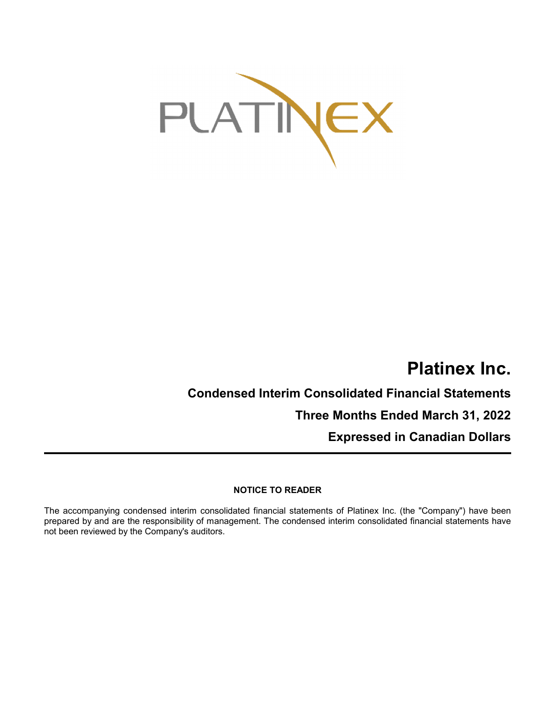

# **Platinex Inc.**

**Condensed Interim Consolidated Financial Statements Three Months Ended March 31, 2022**

**Expressed in Canadian Dollars**

## **NOTICE TO READER**

The accompanying condensed interim consolidated financial statements of Platinex Inc. (the "Company") have been prepared by and are the responsibility of management. The condensed interim consolidated financial statements have not been reviewed by the Company's auditors.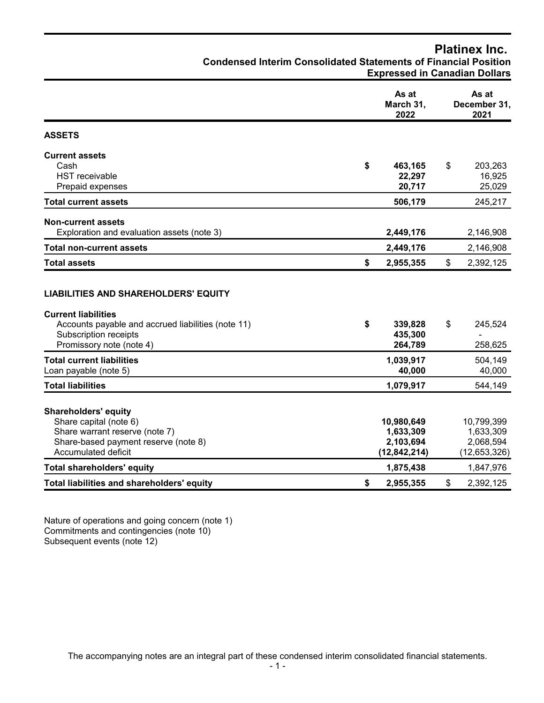| <b>Condensed Interim Consolidated Statements of Financial Position</b>                                                                                 | <b>Expressed in Canadian Dollars</b>                   |                                                        |
|--------------------------------------------------------------------------------------------------------------------------------------------------------|--------------------------------------------------------|--------------------------------------------------------|
|                                                                                                                                                        | As at<br>March 31,<br>2022                             | As at<br>December 31,<br>2021                          |
| <b>ASSETS</b>                                                                                                                                          |                                                        |                                                        |
| <b>Current assets</b><br>Cash<br><b>HST</b> receivable<br>Prepaid expenses                                                                             | \$<br>463,165<br>22,297<br>20,717                      | \$<br>203,263<br>16,925<br>25,029                      |
| <b>Total current assets</b>                                                                                                                            | 506,179                                                | 245,217                                                |
| <b>Non-current assets</b><br>Exploration and evaluation assets (note 3)                                                                                | 2,449,176                                              | 2,146,908                                              |
| <b>Total non-current assets</b>                                                                                                                        | 2,449,176                                              | 2,146,908                                              |
| <b>Total assets</b>                                                                                                                                    | \$<br>2,955,355                                        | \$<br>2,392,125                                        |
| <b>LIABILITIES AND SHAREHOLDERS' EQUITY</b>                                                                                                            |                                                        |                                                        |
| <b>Current liabilities</b><br>Accounts payable and accrued liabilities (note 11)<br><b>Subscription receipts</b><br>Promissory note (note 4)           | \$<br>339,828<br>435,300<br>264,789                    | \$<br>245,524<br>258,625                               |
| <b>Total current liabilities</b><br>Loan payable (note 5)                                                                                              | 1,039,917<br>40,000                                    | 504,149<br>40,000                                      |
| <b>Total liabilities</b>                                                                                                                               | 1,079,917                                              | 544,149                                                |
| <b>Shareholders' equity</b><br>Share capital (note 6)<br>Share warrant reserve (note 7)<br>Share-based payment reserve (note 8)<br>Accumulated deficit | 10,980,649<br>1,633,309<br>2,103,694<br>(12, 842, 214) | 10,799,399<br>1,633,309<br>2,068,594<br>(12, 653, 326) |
| <b>Total shareholders' equity</b>                                                                                                                      | 1,875,438                                              | 1,847,976                                              |
| Total liabilities and shareholders' equity                                                                                                             | \$<br>2,955,355                                        | \$<br>2,392,125                                        |

**Platinex Inc.**

Nature of operations and going concern (note 1) Commitments and contingencies (note 10) Subsequent events (note 12)

The accompanying notes are an integral part of these condensed interim consolidated financial statements.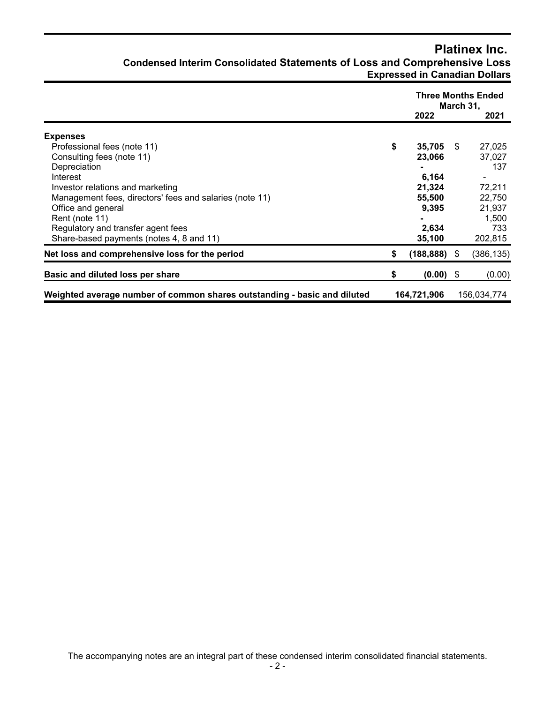## **Platinex Inc. Condensed Interim Consolidated Statements of Loss and Comprehensive Loss Expressed in Canadian Dollars**

|                                                                          | 2022              |      | <b>Three Months Ended</b><br>March 31,<br>2021 |
|--------------------------------------------------------------------------|-------------------|------|------------------------------------------------|
|                                                                          |                   |      |                                                |
| <b>Expenses</b>                                                          |                   |      |                                                |
| Professional fees (note 11)                                              | \$<br>$35,705$ \$ |      | 27,025                                         |
| Consulting fees (note 11)                                                | 23,066            |      | 37,027                                         |
| Depreciation                                                             | $\blacksquare$    |      | 137                                            |
| Interest                                                                 | 6,164             |      |                                                |
| Investor relations and marketing                                         | 21,324            |      | 72,211                                         |
| Management fees, directors' fees and salaries (note 11)                  | 55,500            |      | 22,750                                         |
| Office and general                                                       | 9,395             |      | 21,937                                         |
| Rent (note 11)                                                           |                   |      | 1,500                                          |
| Regulatory and transfer agent fees                                       | 2,634             |      | 733                                            |
| Share-based payments (notes 4, 8 and 11)                                 | 35,100            |      | 202,815                                        |
| Net loss and comprehensive loss for the period                           | \$<br>(188, 888)  | - \$ | (386, 135)                                     |
| Basic and diluted loss per share                                         | \$<br>$(0.00)$ \$ |      | (0.00)                                         |
| Weighted average number of common shares outstanding - basic and diluted | 164,721,906       |      | 156,034,774                                    |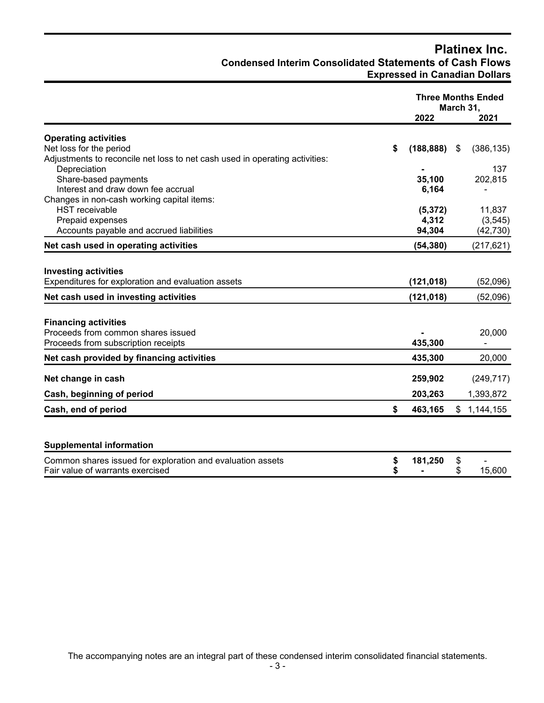# **Platinex Inc. Condensed Interim Consolidated Statements of Cash Flows Expressed in Canadian Dollars**

|                                                                                                |          | <b>Three Months Ended</b><br>March 31, |          |             |
|------------------------------------------------------------------------------------------------|----------|----------------------------------------|----------|-------------|
|                                                                                                |          | 2022                                   |          | 2021        |
| <b>Operating activities</b>                                                                    |          |                                        |          |             |
| Net loss for the period                                                                        | \$       | (188, 888)                             | \$       | (386, 135)  |
| Adjustments to reconcile net loss to net cash used in operating activities:                    |          |                                        |          |             |
| Depreciation                                                                                   |          |                                        |          | 137         |
| Share-based payments                                                                           |          | 35,100                                 |          | 202,815     |
| Interest and draw down fee accrual                                                             |          | 6,164                                  |          |             |
| Changes in non-cash working capital items:                                                     |          |                                        |          |             |
| <b>HST</b> receivable                                                                          |          | (5, 372)                               |          | 11,837      |
| Prepaid expenses                                                                               |          | 4,312                                  |          | (3, 545)    |
| Accounts payable and accrued liabilities                                                       |          | 94,304                                 |          | (42, 730)   |
| Net cash used in operating activities                                                          |          | (54, 380)                              |          | (217, 621)  |
|                                                                                                |          |                                        |          |             |
| <b>Investing activities</b>                                                                    |          |                                        |          |             |
| Expenditures for exploration and evaluation assets                                             |          | (121, 018)                             |          | (52,096)    |
| Net cash used in investing activities                                                          |          | (121, 018)                             |          | (52,096)    |
|                                                                                                |          |                                        |          |             |
| <b>Financing activities</b>                                                                    |          |                                        |          |             |
| Proceeds from common shares issued                                                             |          |                                        |          | 20,000      |
| Proceeds from subscription receipts                                                            |          | 435,300                                |          |             |
| Net cash provided by financing activities                                                      |          | 435,300                                |          | 20,000      |
| Net change in cash                                                                             |          | 259,902                                |          | (249, 717)  |
| Cash, beginning of period                                                                      |          | 203,263                                |          | 1,393,872   |
|                                                                                                | \$       |                                        |          |             |
| Cash, end of period                                                                            |          | 463,165                                |          | \$1,144,155 |
| <b>Supplemental information</b>                                                                |          |                                        |          |             |
| Common shares issued for exploration and evaluation assets<br>Fair value of warrants exercised | \$<br>\$ | 181,250                                | \$<br>\$ | 15,600      |
|                                                                                                |          |                                        |          |             |

The accompanying notes are an integral part of these condensed interim consolidated financial statements.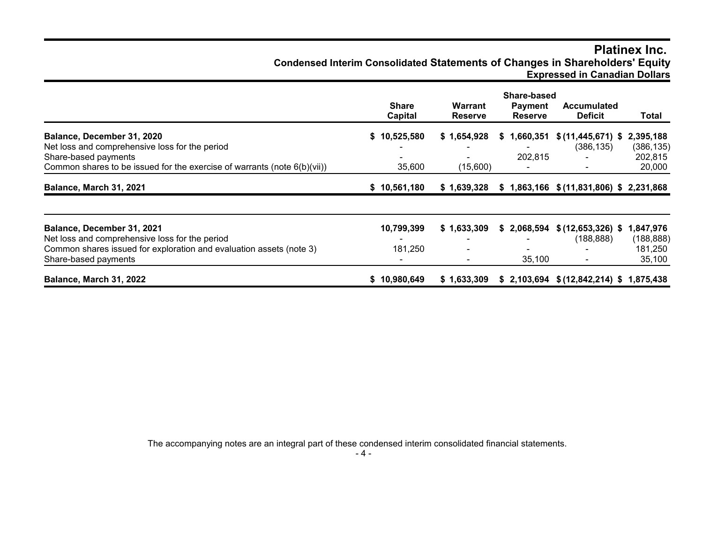# **Platinex Inc. Condensed Interim Consolidated Statements of Changes in Shareholders' Equity Expressed in Canadian Dollars**

|                                                                          |                         | Share-based                      |                                  |                                           |            |
|--------------------------------------------------------------------------|-------------------------|----------------------------------|----------------------------------|-------------------------------------------|------------|
|                                                                          | <b>Share</b><br>Capital | <b>Warrant</b><br><b>Reserve</b> | <b>Payment</b><br><b>Reserve</b> | <b>Accumulated</b><br><b>Deficit</b>      | Total      |
| Balance, December 31, 2020                                               | 10,525,580<br>S.        | \$1,654,928                      | \$1,660,351                      | $$(11, 445, 671)$ \$                      | 2,395,188  |
| Net loss and comprehensive loss for the period                           |                         |                                  |                                  | (386, 135)                                | (386, 135) |
| Share-based payments                                                     |                         |                                  | 202,815                          |                                           | 202,815    |
| Common shares to be issued for the exercise of warrants (note 6(b)(vii)) | 35,600                  | (15,600)                         |                                  |                                           | 20,000     |
| Balance, March 31, 2021                                                  | \$10,561,180            | \$1,639,328                      |                                  | $$1,863,166$ $$(11,831,806)$ \$ 2,231,868 |            |
| Balance, December 31, 2021                                               | 10,799,399              | \$1,633,309                      |                                  | $$2,068,594$ $$(12,653,326)$ \$           | 1,847,976  |
| Net loss and comprehensive loss for the period                           |                         |                                  |                                  | (188, 888)                                | (188, 888) |
| Common shares issued for exploration and evaluation assets (note 3)      | 181,250                 |                                  |                                  |                                           | 181,250    |
| Share-based payments                                                     |                         |                                  | 35,100                           |                                           | 35,100     |
| Balance, March 31, 2022                                                  | \$10,980,649            | \$1,633,309                      |                                  | $$2,103,694$ $$(12,842,214)$ \$           | 1,875,438  |

The accompanying notes are an integral part of these condensed interim consolidated financial statements.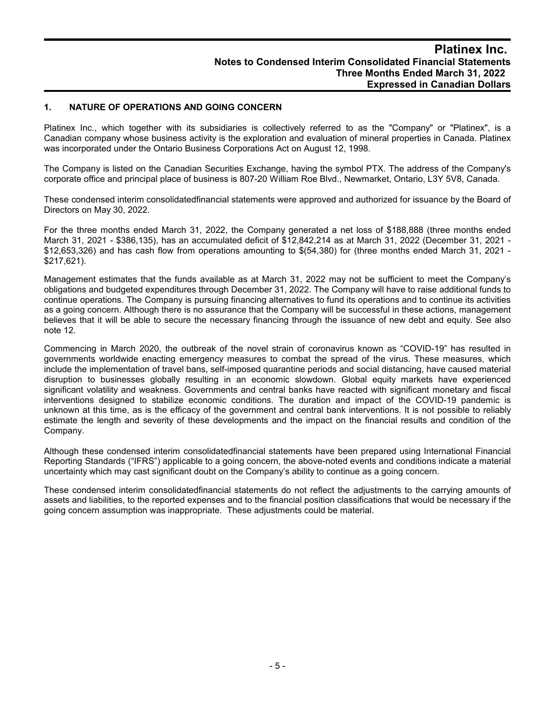## **1. NATURE OF OPERATIONS AND GOING CONCERN**

Platinex Inc., which together with its subsidiaries is collectively referred to as the "Company" or "Platinex", is a Canadian company whose business activity is the exploration and evaluation of mineral properties in Canada. Platinex was incorporated under the Ontario Business Corporations Act on August 12, 1998.

The Company is listed on the Canadian Securities Exchange, having the symbol PTX. The address of the Company's corporate office and principal place of business is 807-20 William Roe Blvd., Newmarket, Ontario, L3Y 5V8, Canada.

These condensed interim consolidatedfinancial statements were approved and authorized for issuance by the Board of Directors on May 30, 2022.

For the three months ended March 31, 2022, the Company generated a net loss of \$188,888 (three months ended March 31, 2021 - \$386,135), has an accumulated deficit of \$12,842,214 as at March 31, 2022 (December 31, 2021 - \$12,653,326) and has cash flow from operations amounting to \$(54,380) for (three months ended March 31, 2021 - \$217,621).

Management estimates that the funds available as at March 31, 2022 may not be sufficient to meet the Company's obligations and budgeted expenditures through December 31, 2022. The Company will have to raise additional funds to continue operations. The Company is pursuing financing alternatives to fund its operations and to continue its activities as a going concern. Although there is no assurance that the Company will be successful in these actions, management believes that it will be able to secure the necessary financing through the issuance of new debt and equity. See also note 12.

Commencing in March 2020, the outbreak of the novel strain of coronavirus known as "COVID-19" has resulted in governments worldwide enacting emergency measures to combat the spread of the virus. These measures, which include the implementation of travel bans, self-imposed quarantine periods and social distancing, have caused material disruption to businesses globally resulting in an economic slowdown. Global equity markets have experienced significant volatility and weakness. Governments and central banks have reacted with significant monetary and fiscal interventions designed to stabilize economic conditions. The duration and impact of the COVID-19 pandemic is unknown at this time, as is the efficacy of the government and central bank interventions. It is not possible to reliably estimate the length and severity of these developments and the impact on the financial results and condition of the Company.

Although these condensed interim consolidatedfinancial statements have been prepared using International Financial Reporting Standards ("IFRS") applicable to a going concern, the above-noted events and conditions indicate a material uncertainty which may cast significant doubt on the Company's ability to continue as a going concern.

These condensed interim consolidatedfinancial statements do not reflect the adjustments to the carrying amounts of assets and liabilities, to the reported expenses and to the financial position classifications that would be necessary if the going concern assumption was inappropriate. These adjustments could be material.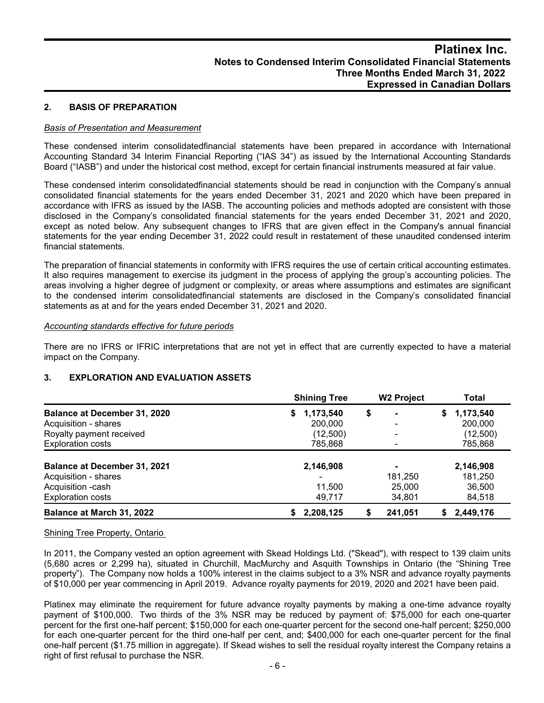## **2. BASIS OF PREPARATION**

#### *Basis of Presentation and Measurement*

These condensed interim consolidatedfinancial statements have been prepared in accordance with International Accounting Standard 34 Interim Financial Reporting ("IAS 34") as issued by the International Accounting Standards Board ("IASB") and under the historical cost method, except for certain financial instruments measured at fair value.

These condensed interim consolidatedfinancial statements should be read in conjunction with the Company's annual consolidated financial statements for the years ended December 31, 2021 and 2020 which have been prepared in accordance with IFRS as issued by the IASB. The accounting policies and methods adopted are consistent with those disclosed in the Company's consolidated financial statements for the years ended December 31, 2021 and 2020, except as noted below. Any subsequent changes to IFRS that are given effect in the Company's annual financial statements for the year ending December 31, 2022 could result in restatement of these unaudited condensed interim financial statements.

The preparation of financial statements in conformity with IFRS requires the use of certain critical accounting estimates. It also requires management to exercise its judgment in the process of applying the group's accounting policies. The areas involving a higher degree of judgment or complexity, or areas where assumptions and estimates are significant to the condensed interim consolidatedfinancial statements are disclosed in the Company's consolidated financial statements as at and for the years ended December 31, 2021 and 2020.

#### *Accounting standards effective for future periods*

There are no IFRS or IFRIC interpretations that are not yet in effect that are currently expected to have a material impact on the Company.

#### **3. EXPLORATION AND EVALUATION ASSETS**

|                                     | <b>Shining Tree</b> | <b>W2 Project</b>        | <b>Total</b>    |
|-------------------------------------|---------------------|--------------------------|-----------------|
| <b>Balance at December 31, 2020</b> | 1,173,540<br>S.     | \$<br>$\blacksquare$     | 1,173,540<br>S. |
| Acquisition - shares                | 200,000             | $\overline{\phantom{0}}$ | 200,000         |
| Royalty payment received            | (12,500)            | $\blacksquare$           | (12,500)        |
| <b>Exploration costs</b>            | 785,868             |                          | 785,868         |
| <b>Balance at December 31, 2021</b> | 2,146,908           |                          | 2,146,908       |
| Acquisition - shares                |                     | 181.250                  | 181,250         |
| Acquisition -cash                   | 11,500              | 25,000                   | 36,500          |
| <b>Exploration costs</b>            | 49,717              | 34,801                   | 84,518          |
| Balance at March 31, 2022           | 2,208,125           | 241,051                  | 2,449,176       |

Shining Tree Property, Ontario

In 2011, the Company vested an option agreement with Skead Holdings Ltd. ("Skead"), with respect to 139 claim units (5,680 acres or 2,299 ha), situated in Churchill, MacMurchy and Asquith Townships in Ontario (the "Shining Tree property"). The Company now holds a 100% interest in the claims subject to a 3% NSR and advance royalty payments of \$10,000 per year commencing in April 2019. Advance royalty payments for 2019, 2020 and 2021 have been paid.

Platinex may eliminate the requirement for future advance royalty payments by making a one-time advance royalty payment of \$100,000. Two thirds of the 3% NSR may be reduced by payment of: \$75,000 for each one-quarter percent for the first one-half percent; \$150,000 for each one-quarter percent for the second one-half percent; \$250,000 for each one-quarter percent for the third one-half per cent, and; \$400,000 for each one-quarter percent for the final one-half percent (\$1.75 million in aggregate). If Skead wishes to sell the residual royalty interest the Company retains a right of first refusal to purchase the NSR.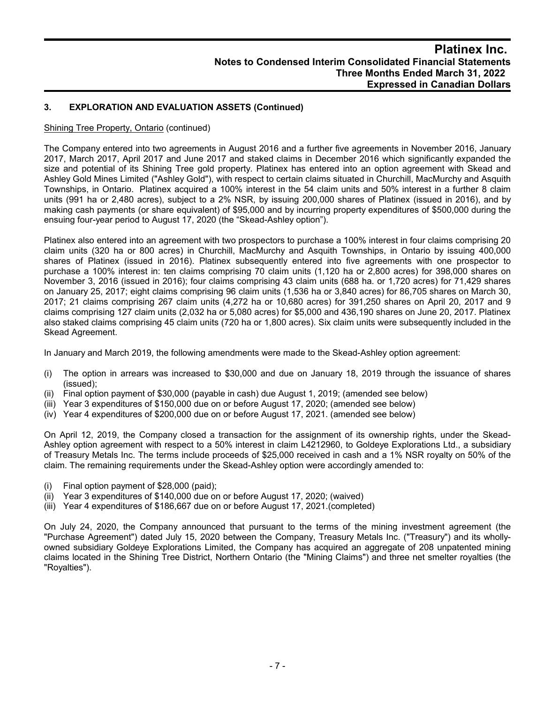## **3. EXPLORATION AND EVALUATION ASSETS (Continued)**

## Shining Tree Property, Ontario (continued)

The Company entered into two agreements in August 2016 and a further five agreements in November 2016, January 2017, March 2017, April 2017 and June 2017 and staked claims in December 2016 which significantly expanded the size and potential of its Shining Tree gold property. Platinex has entered into an option agreement with Skead and Ashley Gold Mines Limited ("Ashley Gold"), with respect to certain claims situated in Churchill, MacMurchy and Asquith Townships, in Ontario. Platinex acquired a 100% interest in the 54 claim units and 50% interest in a further 8 claim units (991 ha or 2,480 acres), subject to a 2% NSR, by issuing 200,000 shares of Platinex (issued in 2016), and by making cash payments (or share equivalent) of \$95,000 and by incurring property expenditures of \$500,000 during the ensuing four-year period to August 17, 2020 (the "Skead-Ashley option").

Platinex also entered into an agreement with two prospectors to purchase a 100% interest in four claims comprising 20 claim units (320 ha or 800 acres) in Churchill, MacMurchy and Asquith Townships, in Ontario by issuing 400,000 shares of Platinex (issued in 2016). Platinex subsequently entered into five agreements with one prospector to purchase a 100% interest in: ten claims comprising 70 claim units (1,120 ha or 2,800 acres) for 398,000 shares on November 3, 2016 (issued in 2016); four claims comprising 43 claim units (688 ha. or 1,720 acres) for 71,429 shares on January 25, 2017; eight claims comprising 96 claim units (1,536 ha or 3,840 acres) for 86,705 shares on March 30, 2017; 21 claims comprising 267 claim units (4,272 ha or 10,680 acres) for 391,250 shares on April 20, 2017 and 9 claims comprising 127 claim units (2,032 ha or 5,080 acres) for \$5,000 and 436,190 shares on June 20, 2017. Platinex also staked claims comprising 45 claim units (720 ha or 1,800 acres). Six claim units were subsequently included in the Skead Agreement.

In January and March 2019, the following amendments were made to the Skead-Ashley option agreement:

- (i) The option in arrears was increased to \$30,000 and due on January 18, 2019 through the issuance of shares (issued);
- (ii) Final option payment of \$30,000 (payable in cash) due August 1, 2019; (amended see below)
- (iii) Year 3 expenditures of \$150,000 due on or before August 17, 2020; (amended see below)
- (iv) Year 4 expenditures of \$200,000 due on or before August 17, 2021. (amended see below)

On April 12, 2019, the Company closed a transaction for the assignment of its ownership rights, under the Skead-Ashley option agreement with respect to a 50% interest in claim L4212960, to Goldeye Explorations Ltd., a subsidiary of Treasury Metals Inc. The terms include proceeds of \$25,000 received in cash and a 1% NSR royalty on 50% of the claim. The remaining requirements under the Skead-Ashley option were accordingly amended to:

- (i) Final option payment of \$28,000 (paid);
- (ii) Year 3 expenditures of \$140,000 due on or before August 17, 2020; (waived)
- (iii) Year 4 expenditures of \$186,667 due on or before August 17, 2021.(completed)

On July 24, 2020, the Company announced that pursuant to the terms of the mining investment agreement (the "Purchase Agreement") dated July 15, 2020 between the Company, Treasury Metals Inc. ("Treasury") and its whollyowned subsidiary Goldeye Explorations Limited, the Company has acquired an aggregate of 208 unpatented mining claims located in the Shining Tree District, Northern Ontario (the "Mining Claims") and three net smelter royalties (the "Royalties").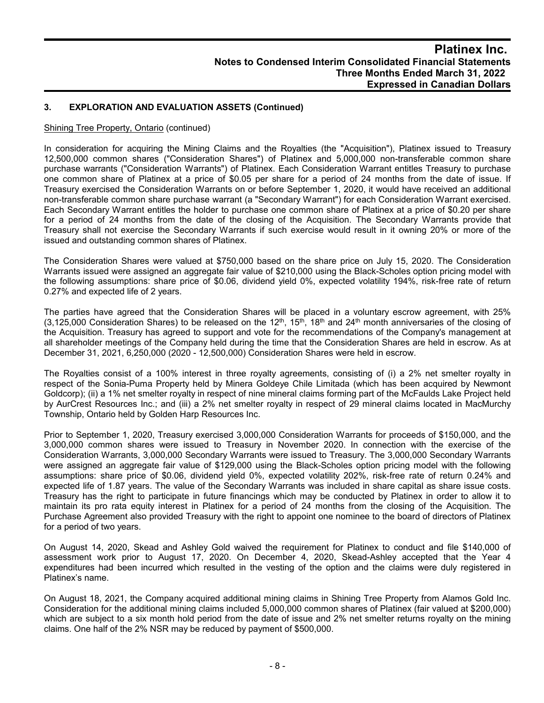## **3. EXPLORATION AND EVALUATION ASSETS (Continued)**

#### Shining Tree Property, Ontario (continued)

In consideration for acquiring the Mining Claims and the Royalties (the "Acquisition"), Platinex issued to Treasury 12,500,000 common shares ("Consideration Shares") of Platinex and 5,000,000 non-transferable common share purchase warrants ("Consideration Warrants") of Platinex. Each Consideration Warrant entitles Treasury to purchase one common share of Platinex at a price of \$0.05 per share for a period of 24 months from the date of issue. If Treasury exercised the Consideration Warrants on or before September 1, 2020, it would have received an additional non-transferable common share purchase warrant (a "Secondary Warrant") for each Consideration Warrant exercised. Each Secondary Warrant entitles the holder to purchase one common share of Platinex at a price of \$0.20 per share for a period of 24 months from the date of the closing of the Acquisition. The Secondary Warrants provide that Treasury shall not exercise the Secondary Warrants if such exercise would result in it owning 20% or more of the issued and outstanding common shares of Platinex.

The Consideration Shares were valued at \$750,000 based on the share price on July 15, 2020. The Consideration Warrants issued were assigned an aggregate fair value of \$210,000 using the Black-Scholes option pricing model with the following assumptions: share price of \$0.06, dividend yield 0%, expected volatility 194%, risk-free rate of return 0.27% and expected life of 2 years.

The parties have agreed that the Consideration Shares will be placed in a voluntary escrow agreement, with 25% (3,125,000 Consideration Shares) to be released on the 12<sup>th</sup>, 15<sup>th</sup>, 18<sup>th</sup> and 24<sup>th</sup> month anniversaries of the closing of the Acquisition. Treasury has agreed to support and vote for the recommendations of the Company's management at all shareholder meetings of the Company held during the time that the Consideration Shares are held in escrow. As at December 31, 2021, 6,250,000 (2020 - 12,500,000) Consideration Shares were held in escrow.

The Royalties consist of a 100% interest in three royalty agreements, consisting of (i) a 2% net smelter royalty in respect of the Sonia-Puma Property held by Minera Goldeye Chile Limitada (which has been acquired by Newmont Goldcorp); (ii) a 1% net smelter royalty in respect of nine mineral claims forming part of the McFaulds Lake Project held by AurCrest Resources Inc.; and (iii) a 2% net smelter royalty in respect of 29 mineral claims located in MacMurchy Township, Ontario held by Golden Harp Resources Inc.

Prior to September 1, 2020, Treasury exercised 3,000,000 Consideration Warrants for proceeds of \$150,000, and the 3,000,000 common shares were issued to Treasury in November 2020. In connection with the exercise of the Consideration Warrants, 3,000,000 Secondary Warrants were issued to Treasury. The 3,000,000 Secondary Warrants were assigned an aggregate fair value of \$129,000 using the Black-Scholes option pricing model with the following assumptions: share price of \$0.06, dividend yield 0%, expected volatility 202%, risk-free rate of return 0.24% and expected life of 1.87 years. The value of the Secondary Warrants was included in share capital as share issue costs. Treasury has the right to participate in future financings which may be conducted by Platinex in order to allow it to maintain its pro rata equity interest in Platinex for a period of 24 months from the closing of the Acquisition. The Purchase Agreement also provided Treasury with the right to appoint one nominee to the board of directors of Platinex for a period of two years.

On August 14, 2020, Skead and Ashley Gold waived the requirement for Platinex to conduct and file \$140,000 of assessment work prior to August 17, 2020. On December 4, 2020, Skead-Ashley accepted that the Year 4 expenditures had been incurred which resulted in the vesting of the option and the claims were duly registered in Platinex's name.

On August 18, 2021, the Company acquired additional mining claims in Shining Tree Property from Alamos Gold Inc. Consideration for the additional mining claims included 5,000,000 common shares of Platinex (fair valued at \$200,000) which are subject to a six month hold period from the date of issue and 2% net smelter returns royalty on the mining claims. One half of the 2% NSR may be reduced by payment of \$500,000.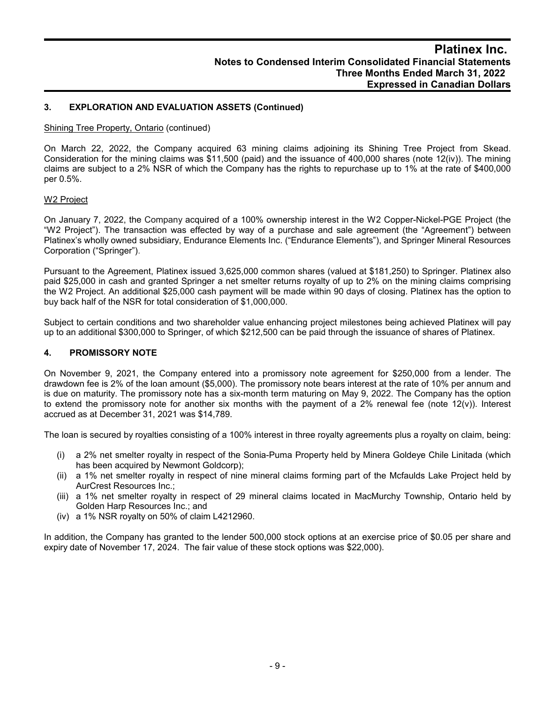## **3. EXPLORATION AND EVALUATION ASSETS (Continued)**

#### Shining Tree Property, Ontario (continued)

On March 22, 2022, the Company acquired 63 mining claims adjoining its Shining Tree Project from Skead. Consideration for the mining claims was \$11,500 (paid) and the issuance of 400,000 shares (note 12(iv)). The mining claims are subject to a 2% NSR of which the Company has the rights to repurchase up to 1% at the rate of \$400,000 per 0.5%.

#### W2 Project

On January 7, 2022, the Company acquired of a 100% ownership interest in the W2 Copper-Nickel-PGE Project (the "W2 Project"). The transaction was effected by way of a purchase and sale agreement (the "Agreement") between Platinex's wholly owned subsidiary, Endurance Elements Inc. ("Endurance Elements"), and Springer Mineral Resources Corporation ("Springer").

Pursuant to the Agreement, Platinex issued 3,625,000 common shares (valued at \$181,250) to Springer. Platinex also paid \$25,000 in cash and granted Springer a net smelter returns royalty of up to 2% on the mining claims comprising the W2 Project. An additional \$25,000 cash payment will be made within 90 days of closing. Platinex has the option to buy back half of the NSR for total consideration of \$1,000,000.

Subject to certain conditions and two shareholder value enhancing project milestones being achieved Platinex will pay up to an additional \$300,000 to Springer, of which \$212,500 can be paid through the issuance of shares of Platinex.

#### **4. PROMISSORY NOTE**

On November 9, 2021, the Company entered into a promissory note agreement for \$250,000 from a lender. The drawdown fee is 2% of the loan amount (\$5,000). The promissory note bears interest at the rate of 10% per annum and is due on maturity. The promissory note has a six-month term maturing on May 9, 2022. The Company has the option to extend the promissory note for another six months with the payment of a 2% renewal fee (note 12(v)). Interest accrued as at December 31, 2021 was \$14,789.

The loan is secured by royalties consisting of a 100% interest in three royalty agreements plus a royalty on claim, being:

- (i) a 2% net smelter royalty in respect of the Sonia-Puma Property held by Minera Goldeye Chile Linitada (which has been acquired by Newmont Goldcorp);
- (ii) a 1% net smelter royalty in respect of nine mineral claims forming part of the Mcfaulds Lake Project held by AurCrest Resources Inc.;
- (iii) a 1% net smelter royalty in respect of 29 mineral claims located in MacMurchy Township, Ontario held by Golden Harp Resources Inc.; and
- (iv) a 1% NSR royalty on 50% of claim L4212960.

In addition, the Company has granted to the lender 500,000 stock options at an exercise price of \$0.05 per share and expiry date of November 17, 2024. The fair value of these stock options was \$22,000).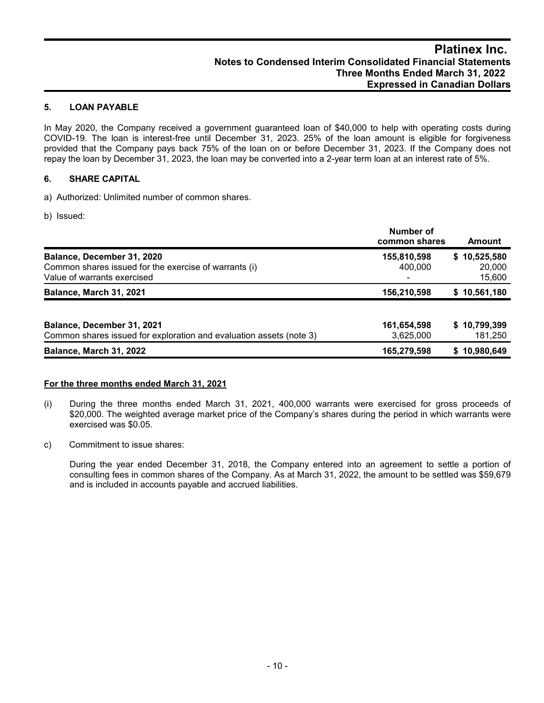## **5. LOAN PAYABLE**

In May 2020, the Company received a government guaranteed loan of \$40,000 to help with operating costs during COVID-19. The loan is interest-free until December 31, 2023. 25% of the loan amount is eligible for forgiveness provided that the Company pays back 75% of the loan on or before December 31, 2023. If the Company does not repay the loan by December 31, 2023, the loan may be converted into a 2-year term loan at an interest rate of 5%.

## **6. SHARE CAPITAL**

a) Authorized: Unlimited number of common shares.

b) Issued:

|                                                                                                                    | Number of<br>common shares | Amount                           |
|--------------------------------------------------------------------------------------------------------------------|----------------------------|----------------------------------|
| Balance, December 31, 2020<br>Common shares issued for the exercise of warrants (i)<br>Value of warrants exercised | 155,810,598<br>400,000     | \$10,525,580<br>20,000<br>15,600 |
| <b>Balance, March 31, 2021</b>                                                                                     | 156,210,598                | \$10,561,180                     |
| Balance, December 31, 2021<br>Common shares issued for exploration and evaluation assets (note 3)                  | 161,654,598<br>3,625,000   | \$10,799,399<br>181,250          |
| <b>Balance, March 31, 2022</b>                                                                                     | 165,279,598                | \$10,980,649                     |

## **For the three months ended March 31, 2021**

- (i) During the three months ended March 31, 2021, 400,000 warrants were exercised for gross proceeds of \$20,000. The weighted average market price of the Company's shares during the period in which warrants were exercised was \$0.05.
- c) Commitment to issue shares:

During the year ended December 31, 2018, the Company entered into an agreement to settle a portion of consulting fees in common shares of the Company. As at March 31, 2022, the amount to be settled was \$59,679 and is included in accounts payable and accrued liabilities.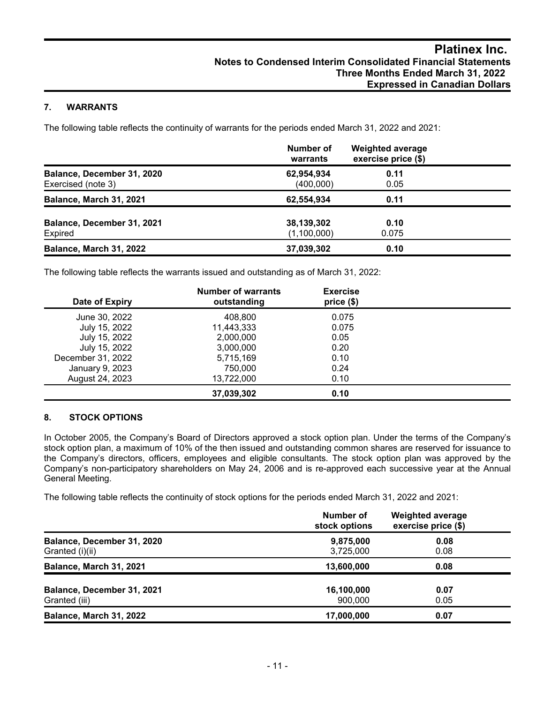## **7. WARRANTS**

The following table reflects the continuity of warrants for the periods ended March 31, 2022 and 2021:

|                                                  | Number of<br>warrants     | <b>Weighted average</b><br>exercise price (\$) |  |
|--------------------------------------------------|---------------------------|------------------------------------------------|--|
| Balance, December 31, 2020<br>Exercised (note 3) | 62,954,934<br>(400,000)   | 0.11<br>0.05                                   |  |
| Balance, March 31, 2021                          | 62,554,934                | 0.11                                           |  |
| Balance, December 31, 2021<br>Expired            | 38,139,302<br>(1,100,000) | 0.10<br>0.075                                  |  |
| <b>Balance, March 31, 2022</b>                   | 37,039,302                | 0.10                                           |  |

The following table reflects the warrants issued and outstanding as of March 31, 2022:

| Date of Expiry    | <b>Number of warrants</b><br>outstanding | <b>Exercise</b><br>price(\$) |  |
|-------------------|------------------------------------------|------------------------------|--|
| June 30, 2022     | 408,800                                  | 0.075                        |  |
| July 15, 2022     | 11,443,333                               | 0.075                        |  |
| July 15, 2022     | 2,000,000                                | 0.05                         |  |
| July 15, 2022     | 3,000,000                                | 0.20                         |  |
| December 31, 2022 | 5,715,169                                | 0.10                         |  |
| January 9, 2023   | 750,000                                  | 0.24                         |  |
| August 24, 2023   | 13,722,000                               | 0.10                         |  |
|                   | 37,039,302                               | 0.10                         |  |

## **8. STOCK OPTIONS**

In October 2005, the Company's Board of Directors approved a stock option plan. Under the terms of the Company's stock option plan, a maximum of 10% of the then issued and outstanding common shares are reserved for issuance to the Company's directors, officers, employees and eligible consultants. The stock option plan was approved by the Company's non-participatory shareholders on May 24, 2006 and is re-approved each successive year at the Annual General Meeting.

The following table reflects the continuity of stock options for the periods ended March 31, 2022 and 2021:

|                                               | Number of<br>stock options | <b>Weighted average</b><br>exercise price (\$) |
|-----------------------------------------------|----------------------------|------------------------------------------------|
| Balance, December 31, 2020<br>Granted (i)(ii) | 9,875,000<br>3,725,000     | 0.08<br>0.08                                   |
| Balance, March 31, 2021                       | 13,600,000                 | 0.08                                           |
| Balance, December 31, 2021<br>Granted (iii)   | 16,100,000<br>900,000      | 0.07<br>0.05                                   |
| Balance, March 31, 2022                       | 17,000,000                 | 0.07                                           |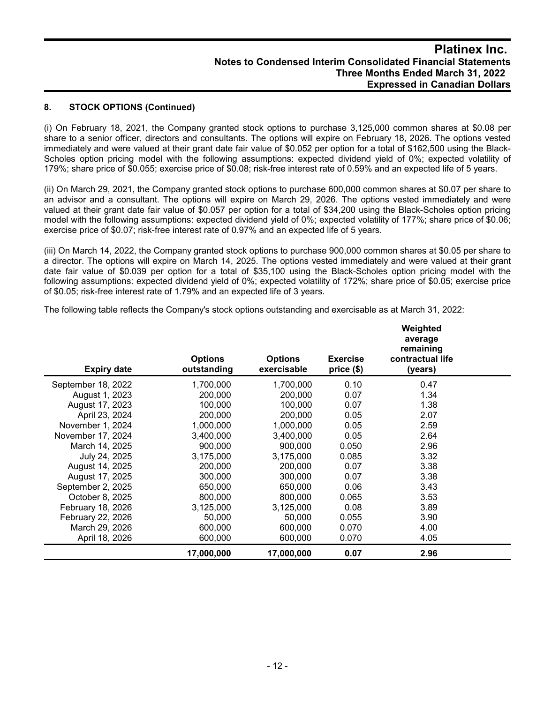## **8. STOCK OPTIONS (Continued)**

(i) On February 18, 2021, the Company granted stock options to purchase 3,125,000 common shares at \$0.08 per share to a senior officer, directors and consultants. The options will expire on February 18, 2026. The options vested immediately and were valued at their grant date fair value of \$0.052 per option for a total of \$162,500 using the Black-Scholes option pricing model with the following assumptions: expected dividend yield of 0%; expected volatility of 179%; share price of \$0.055; exercise price of \$0.08; risk-free interest rate of 0.59% and an expected life of 5 years.

(ii) On March 29, 2021, the Company granted stock options to purchase 600,000 common shares at \$0.07 per share to an advisor and a consultant. The options will expire on March 29, 2026. The options vested immediately and were valued at their grant date fair value of \$0.057 per option for a total of \$34,200 using the Black-Scholes option pricing model with the following assumptions: expected dividend yield of 0%; expected volatility of 177%; share price of \$0.06; exercise price of \$0.07; risk-free interest rate of 0.97% and an expected life of 5 years.

(iii) On March 14, 2022, the Company granted stock options to purchase 900,000 common shares at \$0.05 per share to a director. The options will expire on March 14, 2025. The options vested immediately and were valued at their grant date fair value of \$0.039 per option for a total of \$35,100 using the Black-Scholes option pricing model with the following assumptions: expected dividend yield of 0%; expected volatility of 172%; share price of \$0.05; exercise price of \$0.05; risk-free interest rate of 1.79% and an expected life of 3 years.

The following table reflects the Company's stock options outstanding and exercisable as at March 31, 2022:

| <b>Expiry date</b> | <b>Options</b><br>outstanding | <b>Options</b><br>exercisable | <b>Exercise</b><br>price (\$) | Weighted<br>average<br>remaining<br>contractual life<br>(years) |  |
|--------------------|-------------------------------|-------------------------------|-------------------------------|-----------------------------------------------------------------|--|
| September 18, 2022 | 1,700,000                     | 1,700,000                     | 0.10                          | 0.47                                                            |  |
| August 1, 2023     | 200,000                       | 200,000                       | 0.07                          | 1.34                                                            |  |
| August 17, 2023    | 100,000                       | 100,000                       | 0.07                          | 1.38                                                            |  |
| April 23, 2024     | 200,000                       | 200,000                       | 0.05                          | 2.07                                                            |  |
| November 1, 2024   | 1,000,000                     | 1,000,000                     | 0.05                          | 2.59                                                            |  |
| November 17, 2024  | 3,400,000                     | 3,400,000                     | 0.05                          | 2.64                                                            |  |
| March 14, 2025     | 900.000                       | 900.000                       | 0.050                         | 2.96                                                            |  |
| July 24, 2025      | 3,175,000                     | 3,175,000                     | 0.085                         | 3.32                                                            |  |
| August 14, 2025    | 200,000                       | 200,000                       | 0.07                          | 3.38                                                            |  |
| August 17, 2025    | 300,000                       | 300,000                       | 0.07                          | 3.38                                                            |  |
| September 2, 2025  | 650,000                       | 650,000                       | 0.06                          | 3.43                                                            |  |
| October 8, 2025    | 800,000                       | 800,000                       | 0.065                         | 3.53                                                            |  |
| February 18, 2026  | 3,125,000                     | 3,125,000                     | 0.08                          | 3.89                                                            |  |
| February 22, 2026  | 50,000                        | 50,000                        | 0.055                         | 3.90                                                            |  |
| March 29, 2026     | 600,000                       | 600,000                       | 0.070                         | 4.00                                                            |  |
| April 18, 2026     | 600,000                       | 600,000                       | 0.070                         | 4.05                                                            |  |
|                    | 17,000,000                    | 17,000,000                    | 0.07                          | 2.96                                                            |  |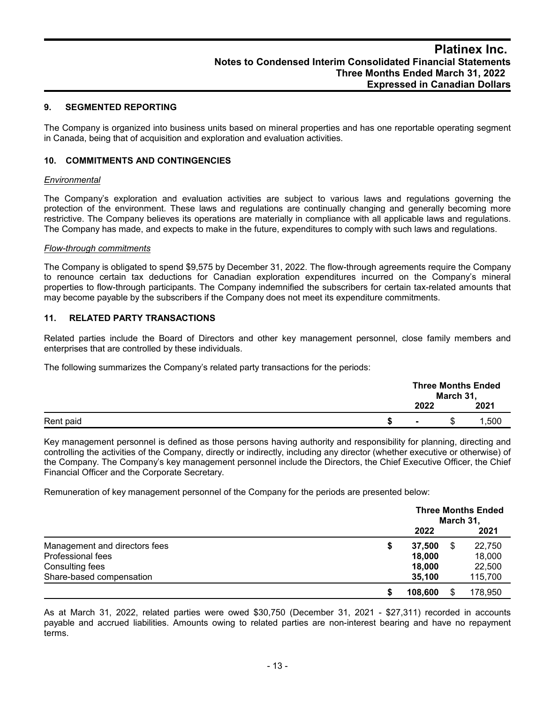## **9. SEGMENTED REPORTING**

The Company is organized into business units based on mineral properties and has one reportable operating segment in Canada, being that of acquisition and exploration and evaluation activities.

### **10. COMMITMENTS AND CONTINGENCIES**

#### *Environmental*

The Company's exploration and evaluation activities are subject to various laws and regulations governing the protection of the environment. These laws and regulations are continually changing and generally becoming more restrictive. The Company believes its operations are materially in compliance with all applicable laws and regulations. The Company has made, and expects to make in the future, expenditures to comply with such laws and regulations.

#### *Flow-through commitments*

The Company is obligated to spend \$9,575 by December 31, 2022. The flow-through agreements require the Company to renounce certain tax deductions for Canadian exploration expenditures incurred on the Company's mineral properties to flow-through participants. The Company indemnified the subscribers for certain tax-related amounts that may become payable by the subscribers if the Company does not meet its expenditure commitments.

#### **11. RELATED PARTY TRANSACTIONS**

Related parties include the Board of Directors and other key management personnel, close family members and enterprises that are controlled by these individuals.

The following summarizes the Company's related party transactions for the periods:

|           |                | March 31, | <b>Three Months Ended</b> |
|-----------|----------------|-----------|---------------------------|
|           | 2022           |           | 2021                      |
| Rent paid | $\blacksquare$ | S         | ,500                      |

Key management personnel is defined as those persons having authority and responsibility for planning, directing and controlling the activities of the Company, directly or indirectly, including any director (whether executive or otherwise) of the Company. The Company's key management personnel include the Directors, the Chief Executive Officer, the Chief Financial Officer and the Corporate Secretary.

Remuneration of key management personnel of the Company for the periods are presented below:

|                               | <b>Three Months Ended</b><br>March 31, |  |         |
|-------------------------------|----------------------------------------|--|---------|
|                               | 2022                                   |  | 2021    |
| Management and directors fees | 37.500                                 |  | 22,750  |
| Professional fees             | 18,000                                 |  | 18,000  |
| Consulting fees               | 18,000                                 |  | 22,500  |
| Share-based compensation      | 35,100                                 |  | 115,700 |
|                               | 108,600                                |  | 178.950 |

As at March 31, 2022, related parties were owed \$30,750 (December 31, 2021 - \$27,311) recorded in accounts payable and accrued liabilities. Amounts owing to related parties are non-interest bearing and have no repayment terms.